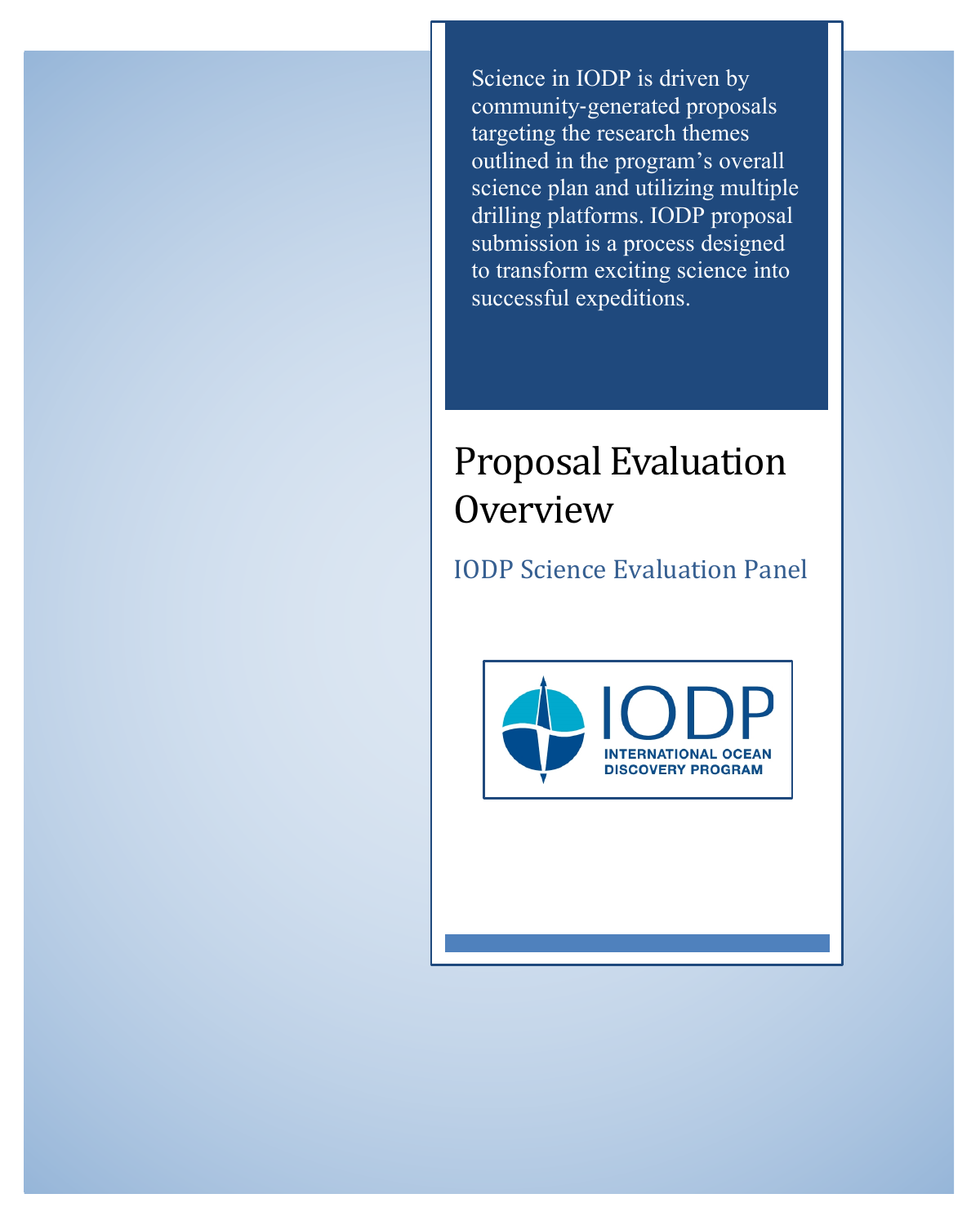Science in IODP is driven by community-generated proposals targeting the research themes outlined in the program's overall science plan and utilizing multiple drilling platforms. IODP proposal submission is a process designed to transform exciting science into successful expeditions.

# **Proposal Evaluation Overview**

IODP Science Evaluation Panel

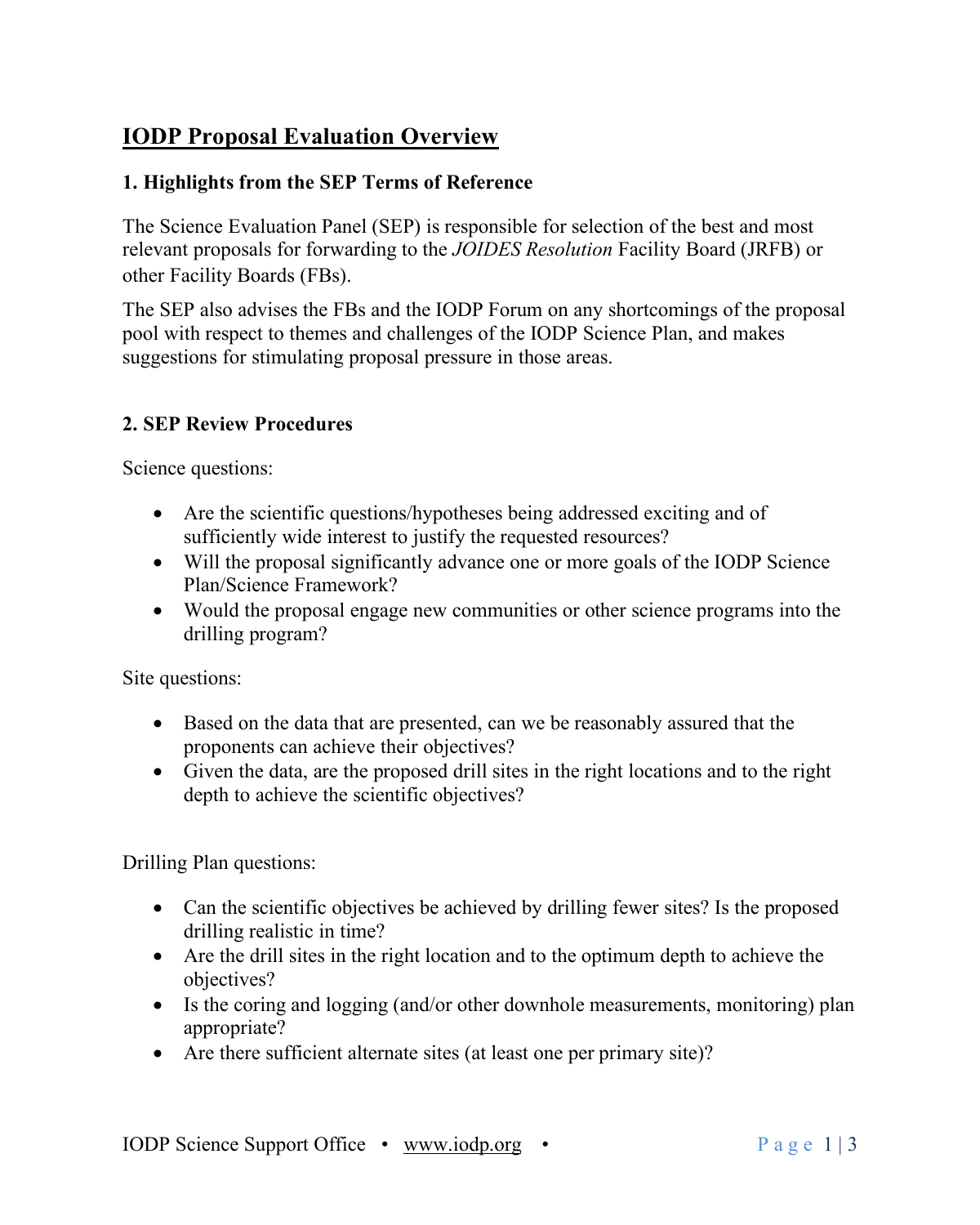## **IODP Proposal Evaluation Overview**

#### **1. Highlights from the SEP Terms of Reference**

The Science Evaluation Panel (SEP) is responsible for selection of the best and most relevant proposals for forwarding to the *JOIDES Resolution* Facility Board (JRFB) or other Facility Boards (FBs).

The SEP also advises the FBs and the IODP Forum on any shortcomings of the proposal pool with respect to themes and challenges of the IODP Science Plan, and makes suggestions for stimulating proposal pressure in those areas.

#### **2. SEP Review Procedures**

Science questions:

- Are the scientific questions/hypotheses being addressed exciting and of sufficiently wide interest to justify the requested resources?
- Will the proposal significantly advance one or more goals of the IODP Science Plan/Science Framework?
- Would the proposal engage new communities or other science programs into the drilling program?

Site questions:

- Based on the data that are presented, can we be reasonably assured that the proponents can achieve their objectives?
- Given the data, are the proposed drill sites in the right locations and to the right depth to achieve the scientific objectives?

Drilling Plan questions:

- Can the scientific objectives be achieved by drilling fewer sites? Is the proposed drilling realistic in time?
- Are the drill sites in the right location and to the optimum depth to achieve the objectives?
- Is the coring and logging (and/or other downhole measurements, monitoring) plan appropriate?
- Are there sufficient alternate sites (at least one per primary site)?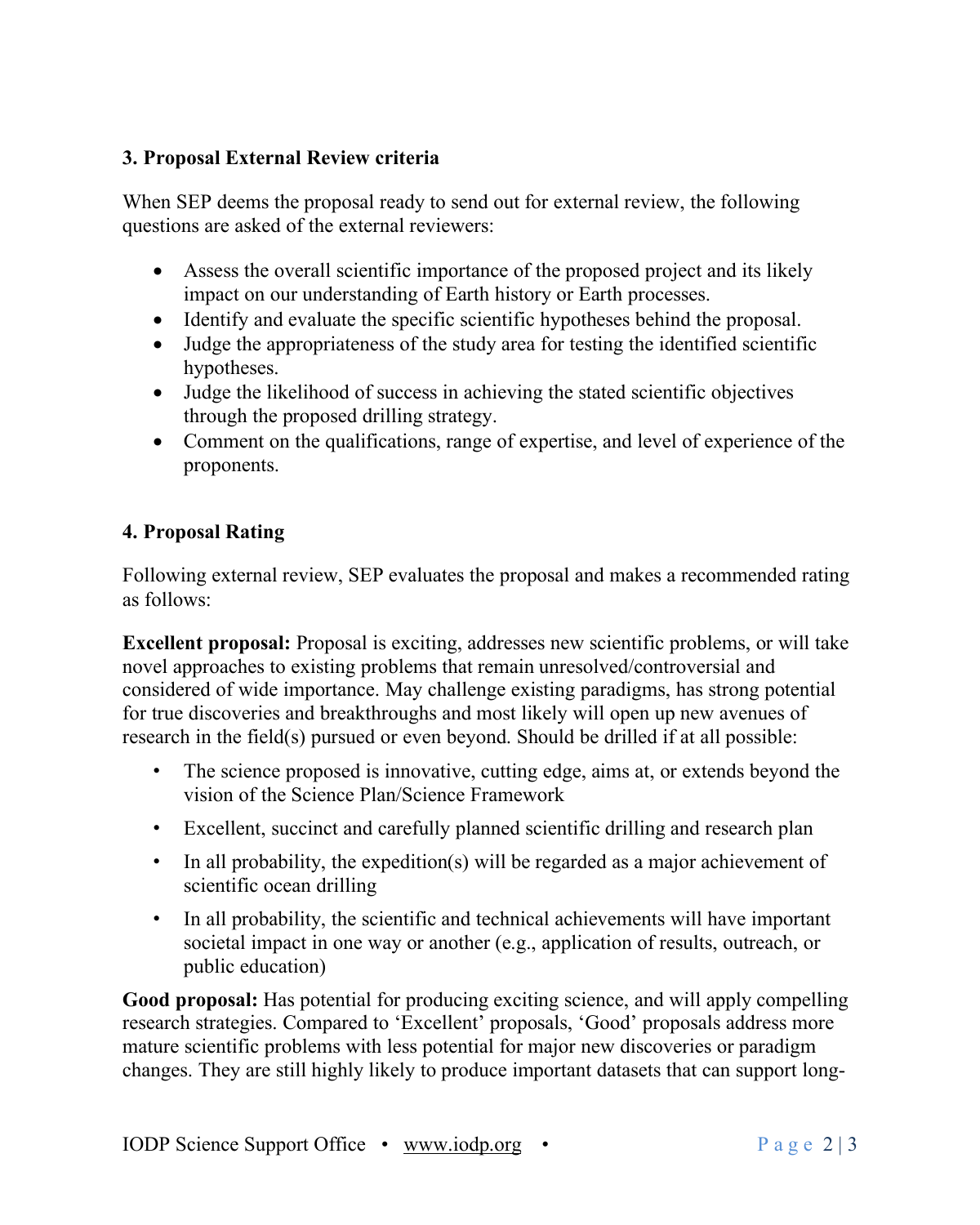#### **3. Proposal External Review criteria**

When SEP deems the proposal ready to send out for external review, the following questions are asked of the external reviewers:

- Assess the overall scientific importance of the proposed project and its likely impact on our understanding of Earth history or Earth processes.
- Identify and evaluate the specific scientific hypotheses behind the proposal.
- Judge the appropriateness of the study area for testing the identified scientific hypotheses.
- Judge the likelihood of success in achieving the stated scientific objectives through the proposed drilling strategy.
- Comment on the qualifications, range of expertise, and level of experience of the proponents.

### **4. Proposal Rating**

Following external review, SEP evaluates the proposal and makes a recommended rating as follows:

**Excellent proposal:** Proposal is exciting, addresses new scientific problems, or will take novel approaches to existing problems that remain unresolved/controversial and considered of wide importance. May challenge existing paradigms, has strong potential for true discoveries and breakthroughs and most likely will open up new avenues of research in the field(s) pursued or even beyond. Should be drilled if at all possible:

- The science proposed is innovative, cutting edge, aims at, or extends beyond the vision of the Science Plan/Science Framework
- Excellent, succinct and carefully planned scientific drilling and research plan
- In all probability, the expedition(s) will be regarded as a major achievement of scientific ocean drilling
- In all probability, the scientific and technical achievements will have important societal impact in one way or another (e.g., application of results, outreach, or public education)

**Good proposal:** Has potential for producing exciting science, and will apply compelling research strategies. Compared to 'Excellent' proposals, 'Good' proposals address more mature scientific problems with less potential for major new discoveries or paradigm changes. They are still highly likely to produce important datasets that can support long-